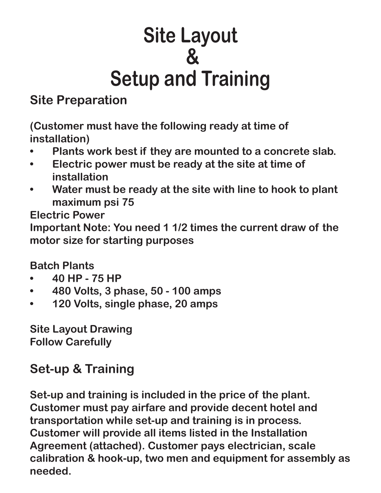## **Site Layout & Setup and Training**

## **Site Preparation**

**(Customer must have the following ready at time of installation)**

- **• Plants work best if they are mounted to a concrete slab.**
- **• Electric power must be ready at the site at time of installation**
- **• Water must be ready at the site with line to hook to plant maximum psi 75**

**Electric Power**

**Important Note: You need 1 1/2 times the current draw of the motor size for starting purposes**

**Batch Plants**

- **• 40 HP 75 HP**
- **• 480 Volts, 3 phase, 50 100 amps**
- **• 120 Volts, single phase, 20 amps**

**Site Layout Drawing Follow Carefully**

## **Set-up & Training**

**Set-up and training is included in the price of the plant. Customer must pay airfare and provide decent hotel and transportation while set-up and training is in process. Customer will provide all items listed in the Installation Agreement (attached). Customer pays electrician, scale calibration & hook-up, two men and equipment for assembly as needed.**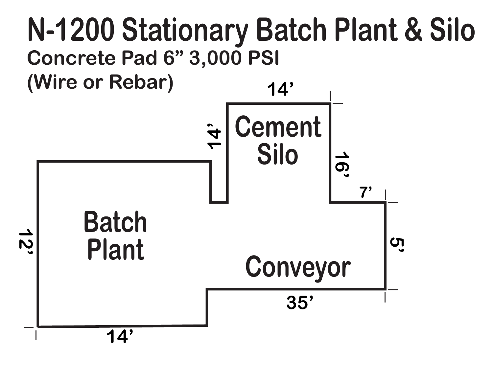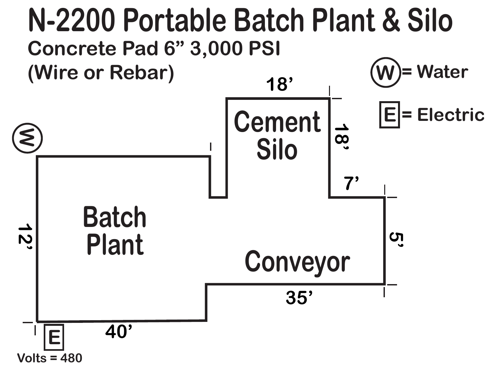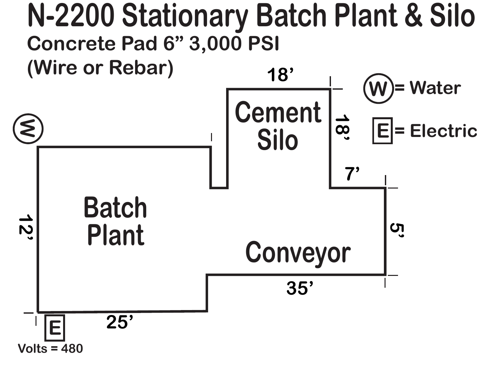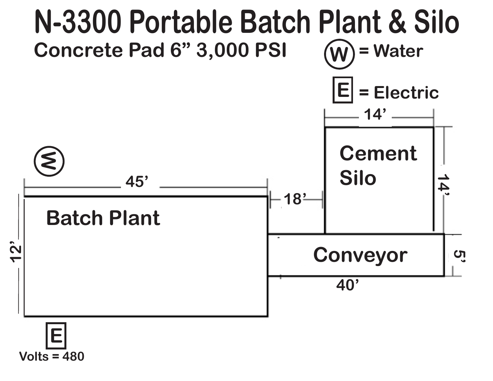